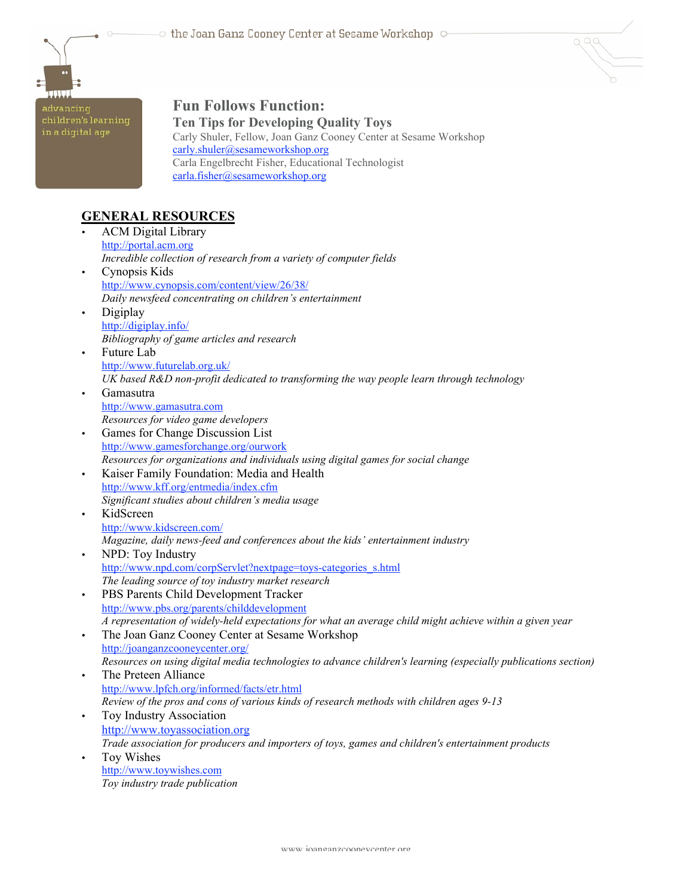

advancing<br>children's learning<br>in a digital age

## **Fun Follows Function: Ten Tips for Developing Quality Toys**

Carly Shuler, Fellow, Joan Ganz Cooney Center at Sesame Workshop carly.shuler@sesameworkshop.org Carla Engelbrecht Fisher, Educational Technologist carla.fisher@sesameworkshop.org

 $QQQ$ 

# **GENERAL RESOURCES**

|           | <b>ACM</b> Digital Library                                                                                     |
|-----------|----------------------------------------------------------------------------------------------------------------|
|           | http://portal.acm.org                                                                                          |
|           | Incredible collection of research from a variety of computer fields                                            |
| $\bullet$ | Cynopsis Kids                                                                                                  |
|           | http://www.cynopsis.com/content/view/26/38/                                                                    |
|           | Daily newsfeed concentrating on children's entertainment                                                       |
| $\bullet$ | Digiplay                                                                                                       |
|           | http://digiplay.info/                                                                                          |
|           | Bibliography of game articles and research                                                                     |
| $\bullet$ | Future Lab                                                                                                     |
|           | http://www.futurelab.org.uk/                                                                                   |
|           | UK based R&D non-profit dedicated to transforming the way people learn through technology                      |
| $\bullet$ | Gamasutra                                                                                                      |
|           | http://www.gamasutra.com                                                                                       |
|           | Resources for video game developers                                                                            |
| $\bullet$ | Games for Change Discussion List                                                                               |
|           | http://www.gamesforchange.org/ourwork                                                                          |
|           | Resources for organizations and individuals using digital games for social change                              |
| $\bullet$ | Kaiser Family Foundation: Media and Health                                                                     |
|           | http://www.kff.org/entmedia/index.cfm                                                                          |
|           | Significant studies about children's media usage                                                               |
| $\bullet$ | KidScreen                                                                                                      |
|           | http://www.kidscreen.com/                                                                                      |
|           | Magazine, daily news-feed and conferences about the kids' entertainment industry                               |
| $\bullet$ | NPD: Toy Industry                                                                                              |
|           | http://www.npd.com/corpServlet?nextpage=toys-categories s.html                                                 |
|           | The leading source of toy industry market research                                                             |
| $\bullet$ | PBS Parents Child Development Tracker                                                                          |
|           | http://www.pbs.org/parents/childdevelopment                                                                    |
|           | A representation of widely-held expectations for what an average child might achieve within a given year       |
| $\bullet$ | The Joan Ganz Cooney Center at Sesame Workshop                                                                 |
|           | http://joanganzcooneycenter.org/                                                                               |
|           | Resources on using digital media technologies to advance children's learning (especially publications section) |
| $\bullet$ | The Preteen Alliance                                                                                           |
|           | http://www.lpfch.org/informed/facts/etr.html                                                                   |
|           | Review of the pros and cons of various kinds of research methods with children ages 9-13                       |
| $\bullet$ | Toy Industry Association                                                                                       |
|           | http://www.toyassociation.org                                                                                  |
|           | Trade association for producers and importers of toys, games and children's entertainment products             |
| $\bullet$ | Toy Wishes                                                                                                     |
|           | http://www.toywishes.com<br>Toy industry trade publication                                                     |
|           |                                                                                                                |
|           |                                                                                                                |